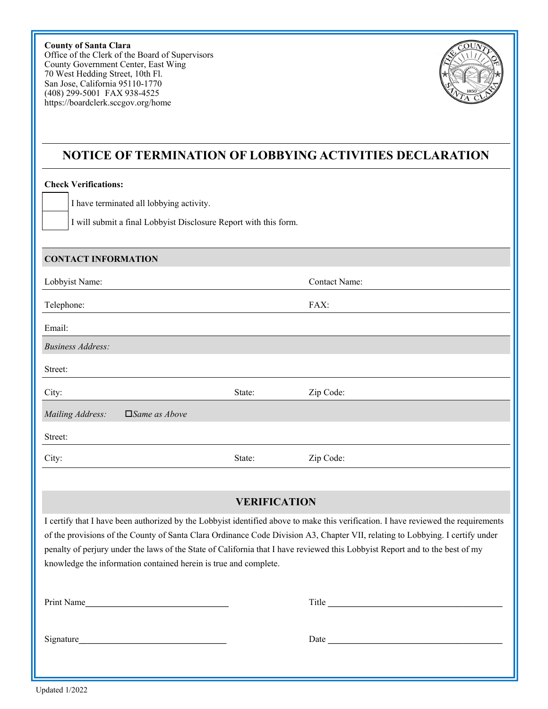**County of Santa Clara**  Office of the Clerk of the Board of Supervisors County Government Center, East Wing 70 West Hedding Street, 10th Fl. San Jose, California 95110-1770 (408) 299-5001 FAX 938-4525 https://boardclerk.sccgov.org/home



## **NOTICE OF TERMINATION OF LOBBYING ACTIVITIES DECLARATION**

### **Check Verifications:**

I have terminated all lobbying activity.

I will submit a final Lobbyist Disclosure Report with this form.

#### **CONTACT INFORMATION**

| Lobbyist Name:                              |        | <b>Contact Name:</b> |
|---------------------------------------------|--------|----------------------|
| Telephone:                                  |        | FAX:                 |
| Email:                                      |        |                      |
| <b>Business Address:</b>                    |        |                      |
| Street:                                     |        |                      |
| City:                                       | State: | Zip Code:            |
| Mailing Address:<br>$\square$ Same as Above |        |                      |
| Street:                                     |        |                      |
| City:                                       | State: | Zip Code:            |

## **VERIFICATION**

I certify that I have been authorized by the Lobbyist identified above to make this verification. I have reviewed the requirements of the provisions of the County of Santa Clara Ordinance Code Division A3, Chapter VII, relating to Lobbying. I certify under penalty of perjury under the laws of the State of California that I have reviewed this Lobbyist Report and to the best of my knowledge the information contained herein is true and complete.

| Print Name | Title |
|------------|-------|
| Signature  | Date  |